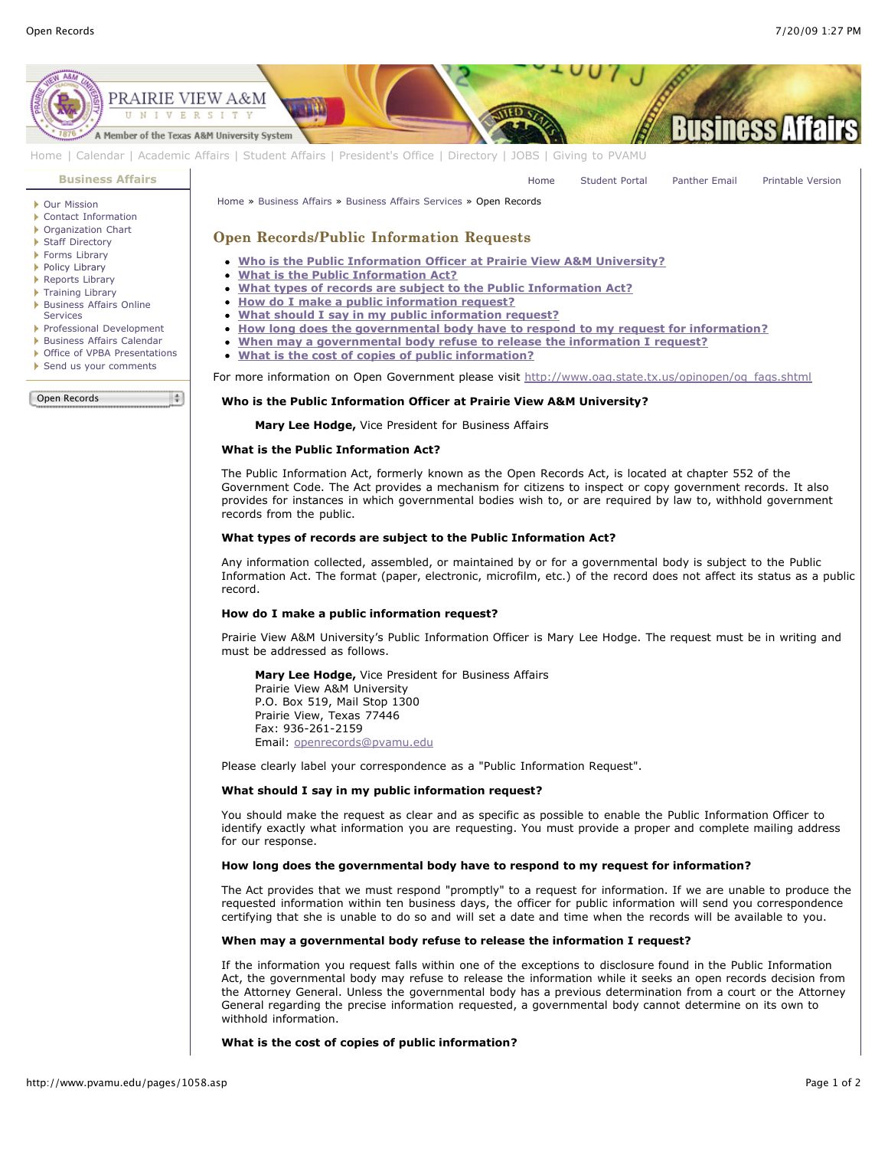[Home](http://www.pvamu.edu/pages/1.asp) [Student Portal](http://panthertracks.pvamu.edu/) [Panther Email](http://www.pvamu.edu/pages/1740.asp) [Printable Version](http://www.pvamu.edu/print/1058.asp)



[Home](http://www.pvamu.edu/pages/1.asp) | [Calendar](http://www.pvamu.edu/pages/222.asp) | [Academic Affairs](http://www.pvamu.edu/pages/116.asp) | [Student Affairs](http://www.pvamu.edu/pages/1441.asp) | [President's Office](http://www.pvamu.edu/pages/117.asp) | [Directory](http://www.pvamu.edu/pages/225.asp) | [JOBS](http://www.pvamu.edu/pages/118.asp) | [Giving to PVAMU](http://www.pvamu.edu/giving)

**[Business Affairs](http://www.pvamu.edu/pages/102.asp)**

- [Our Mission](http://www.pvamu.edu/pages/3012.asp)
- [Contact Information](http://www.pvamu.edu/pages/527.asp)
- ▶ [Organization Chart](http://www.pvamu.edu/pages/528.asp)
- ▶ [Staff Directory](http://www.pvamu.edu/pages/529.asp)
- ▶ [Forms Library](http://www.pvamu.edu/pages/531.asp)
- [Policy Library](http://www.pvamu.edu/pages/532.asp)
- ▶ [Reports Library](http://www.pvamu.edu/pages/533.asp)
- ▶ [Training Library](http://www.pvamu.edu/pages/4512.asp)
- **[Business Affairs Online](http://www.pvamu.edu/pages/5583.asp)**
- Services
- [Professional Development](http://www.pvamu.edu/pages/4966.asp)
- [Business Affairs Calendar](http://www.pvamu.edu/pages/534.asp)
- ▶ [Office of VPBA Presentations](http://www.pvamu.edu/pages/2940.asp)
- [Send us your comments](http://www.pvamu.edu/pages/535.asp)

Open Records

# Open Records/Public Information Requests

[Home](http://www.pvamu.edu/pages/1.asp) » [Business Affairs](http://www.pvamu.edu/pages/102.asp) » [Business Affairs Services](http://www.pvamu.edu/pages/530.asp) » Open Records

- **[Who is the Public Information Officer at Prairie View A&M University?](http://www.pvamu.edu/pages/1058.asp#1)**  $\bullet$
- **[What is the Public Information Act?](http://www.pvamu.edu/pages/1058.asp#2)**

 $\bullet$ 

 $\frac{1}{2}$ 

- **[What types of records are subject to the Public Information Act?](http://www.pvamu.edu/pages/1058.asp#3)**  $\bullet$
- **[How do I make a public information request?](http://www.pvamu.edu/pages/1058.asp#4)**
- **[What should I say in my public information request?](http://www.pvamu.edu/pages/1058.asp#5)**
- **[How long does the governmental body have to respond to my request for information?](http://www.pvamu.edu/pages/1058.asp#6)**
- **[When may a governmental body refuse to release the information I request?](http://www.pvamu.edu/pages/1058.asp#7)**
- $\bullet$ **[What is the cost of copies of public information?](http://www.pvamu.edu/pages/1058.asp#8)**

For more information on Open Government please visit [http://www.oag.state.tx.us/opinopen/og\\_faqs.shtml](http://www.oag.state.tx.us/opinopen/og_faqs.shtml)

#### **Who is the Public Information Officer at Prairie View A&M University?**

**Mary Lee Hodge,** Vice President for Business Affairs

# **What is the Public Information Act?**

The Public Information Act, formerly known as the Open Records Act, is located at chapter 552 of the Government Code. The Act provides a mechanism for citizens to inspect or copy government records. It also provides for instances in which governmental bodies wish to, or are required by law to, withhold government records from the public.

## **What types of records are subject to the Public Information Act?**

Any information collected, assembled, or maintained by or for a governmental body is subject to the Public Information Act. The format (paper, electronic, microfilm, etc.) of the record does not affect its status as a public record.

### **How do I make a public information request?**

Prairie View A&M University's Public Information Officer is Mary Lee Hodge. The request must be in writing and must be addressed as follows.

**Mary Lee Hodge,** Vice President for Business Affairs

Prairie View A&M University P.O. Box 519, Mail Stop 1300 Prairie View, Texas 77446 Fax: 936-261-2159 Email: [openrecords@pvamu.edu](mailto:openrecords@pvamu.edu)

Please clearly label your correspondence as a "Public Information Request".

# **What should I say in my public information request?**

You should make the request as clear and as specific as possible to enable the Public Information Officer to identify exactly what information you are requesting. You must provide a proper and complete mailing address for our response.

### **How long does the governmental body have to respond to my request for information?**

The Act provides that we must respond "promptly" to a request for information. If we are unable to produce the requested information within ten business days, the officer for public information will send you correspondence certifying that she is unable to do so and will set a date and time when the records will be available to you.

## **When may a governmental body refuse to release the information I request?**

If the information you request falls within one of the exceptions to disclosure found in the Public Information Act, the governmental body may refuse to release the information while it seeks an open records decision from the Attorney General. Unless the governmental body has a previous determination from a court or the Attorney General regarding the precise information requested, a governmental body cannot determine on its own to withhold information.

**What is the cost of copies of public information?**